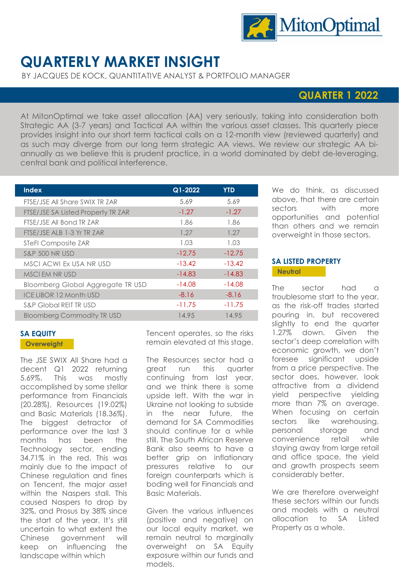

# **QUARTERLY MARKET INSIGHT**

BY JACQUES DE KOCK, QUANTITATIVE ANALYST & PORTFOLIO MANAGER

# **QUARTER 1 2022**

At MitonOptimal we take asset allocation (AA) very seriously, taking into consideration both Strategic AA (3-7 years) and Tactical AA within the various asset classes. This quarterly piece provides insight into our short term tactical calls on a 12-month view (reviewed quarterly) and as such may diverge from our long term strategic AA views. We review our strategic AA biannually as we believe this is prudent practice, in a world dominated by debt de-leveraging, central bank and political interference.

| <b>Index</b>                       | Q1-2022  | <b>YTD</b> |
|------------------------------------|----------|------------|
| FTSE/JSE All Share SWIX TR ZAR     | 5.69     | 5.69       |
| FTSE/JSE SA Listed Property TR ZAR | $-1.27$  | $-1.27$    |
| FTSE/JSE All Bond TR ZAR           | 1.86     | 1.86       |
| FTSE/JSE ALB 1-3 Yr TR ZAR         | 1.27     | 1.27       |
| STeFI Composite ZAR                | 1.03     | 1.03       |
| <b>S&amp;P 500 NR USD</b>          | $-12.75$ | $-12.75$   |
| MSCI ACWI Ex USA NR USD            | $-13.42$ | $-13.42$   |
| MSCI EM NR USD                     | $-14.83$ | $-14.83$   |
| Bloomberg Global Aggregate TR USD  | $-14.08$ | $-14.08$   |
| <b>ICE LIBOR 12 Month USD</b>      | $-8.16$  | $-8.16$    |
| <b>S&amp;P Global REIT TRUSD</b>   | $-11.75$ | $-11.75$   |
| <b>Bloomberg Commodity TR USD</b>  | 14.95    | 14.95      |

# **SA EQUITY**

#### **Overweight**

The JSE SWIX All Share had a decent Q1 2022 returning 5.69%. This was mostly accomplished by some stellar performance from Financials (20.28%), Resources (19.02%) and Basic Materials (18.36%). The biggest detractor of performance over the last 3 months has been the Technology sector, ending 34.71% in the red. This was mainly due to the impact of Chinese regulation and fines on Tencent, the major asset within the Naspers stall. This caused Naspers to drop by 32%, and Prosus by 38% since the start of the year. It's still uncertain to what extent the Chinese government will keep on influencing the landscape within which

Tencent operates, so the risks remain elevated at this stage.

The Resources sector had a great run this quarter continuing from last year, and we think there is some upside left. With the war in Ukraine not looking to subside in the near future, the demand for SA Commodities should continue for a while still. The South African Reserve Bank also seems to have a better grip on inflationary pressures relative to our foreign counterparts which is boding well for Financials and Basic Materials.

Given the various influences (positive and negative) on our local equity market, we remain neutral to marginally overweight on SA Equity exposure within our funds and models.

We do think, as discussed above, that there are certain sectors with more opportunities and potential than others and we remain overweight in those sectors.

# **SA LISTED PROPERTY Neutral**

The sector had a troublesome start to the year, as the risk-off trades started pouring in, but recovered slightly to end the quarter 1.27% down. Given the sector's deep correlation with economic growth, we don't foresee significant upside from a price perspective. The sector does, however, look attractive from a dividend yield perspective yielding more than 7% on average. When focusing on certain sectors like warehousing, personal storage and convenience retail while staying away from large retail and office space, the yield and growth prospects seem considerably better.

We are therefore overweight these sectors within our funds and models with a neutral allocation to SA Listed Property as a whole.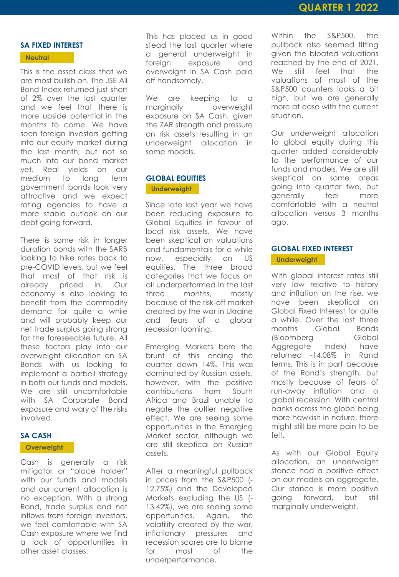#### **SA FIXED INTEREST**

#### **Neutral**

This is the asset class that we are most bullish on. The JSE All Bond Index returned just short of 2% over the last quarter and we feel that there is more upside potential in the months to come. We have seen foreign investors getting into our equity market during the last month, but not so much into our bond market yet. Real yields on our medium to long term government bonds look very attractive and we expect rating agencies to have a more stable outlook on our debt going forward.

There is some risk in longer duration bonds with the SARB looking to hike rates back to pre-COVID levels, but we feel that most of that risk is already priced in. Our economy is also looking to benefit from the commodity demand for quite a while and will probably keep our net trade surplus going strong for the foreseeable future. All these factors play into our overweight allocation on SA Bonds with us looking to implement a barbell strategy in both our funds and models. We are still uncomfortable with SA Corporate Bond exposure and wary of the risks involved.

#### **SA CASH**

#### **Overweight**

Cash is generally a risk mitigator or "place holder" with our funds and models and our current allocation is no exception. With a strong Rand, trade surplus and net inflows from foreign investors, we feel comfortable with SA Cash exposure where we find a lack of opportunities in other asset classes.

This has placed us in good stead the last quarter where a general underweight in foreign exposure and overweight in SA Cash paid off handsomely.

We are keeping to a marginally overweight exposure on SA Cash, given the ZAR strength and pressure on risk assets resulting in an underweight allocation in some models.

## **GLOBAL EQUITIES Underweight**

Since late last year we have been reducing exposure to Global Equities in favour of local risk assets. We have been skeptical on valuations and fundamentals for a while now, especially on US equities. The three broad categories that we focus on all underperformed in the last three months, mostly because of the risk-off market created by the war in Ukraine and fears of a global recession looming.

Emerging Markets bore the brunt of this ending the quarter down 14%. This was dominated by Russian assets, however, with the positive contributions from South Africa and Brazil unable to negate the outlier negative effect. We are seeing some opportunities in the Emerging Market sector, although we are still skeptical on Russian assets.

After a meaningful pullback in prices from the S&P500 (- 12.75%) and the Developed Markets excluding the US (- 13.42%), we are seeing some opportunities. Again, the volatility created by the war, inflationary pressures and recession scares are to blame for most of the underperformance.

Within the S&P500, the pullback also seemed fitting given the bloated valuations reached by the end of 2021. We still feel that the valuations of most of the S&P500 counters looks a bit high, but we are generally more at ease with the current situation.

Our underweight allocation to global equity during this quarter added considerably to the performance of our funds and models. We are still skeptical on some areas going into quarter two, but generally feel more comfortable with a neutral allocation versus 3 months ago.

# **GLOBAL FIXED INTEREST**

**Underweight**

With global interest rates still very low relative to history and inflation on the rise, we have been skeptical on Global Fixed Interest for quite a while. Over the last three months Global Bonds (Bloomberg Global Aggregate Index) have returned -14.08% in Rand terms. This is in part because of the Rand's strength, but mostly because of fears of run-away inflation and a global recession. With central banks across the globe being more hawkish in nature, there might still be more pain to be felt.

As with our Global Equity allocation, an underweight stance had a positive effect on our models on aggregate. Our stance is more positive going forward, but still marginally underweight.